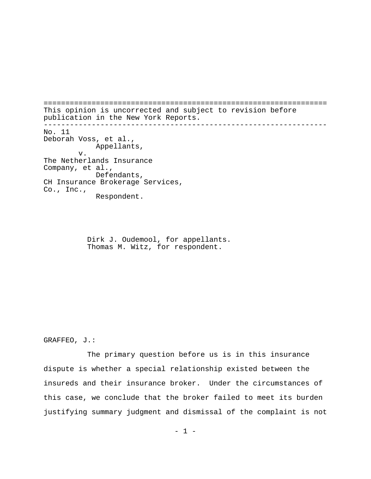================================================================= This opinion is uncorrected and subject to revision before publication in the New York Reports. ----------------------------------------------------------------- No. 11 Deborah Voss, et al., Appellants, v. The Netherlands Insurance Company, et al., Defendants, CH Insurance Brokerage Services, Co., Inc., Respondent.

> Dirk J. Oudemool, for appellants. Thomas M. Witz, for respondent.

GRAFFEO, J.:

The primary question before us is in this insurance dispute is whether a special relationship existed between the insureds and their insurance broker. Under the circumstances of this case, we conclude that the broker failed to meet its burden justifying summary judgment and dismissal of the complaint is not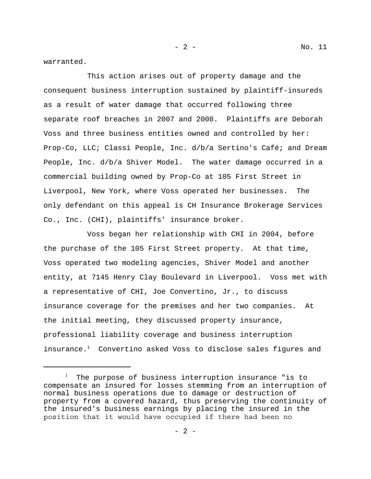warranted.

This action arises out of property damage and the consequent business interruption sustained by plaintiff-insureds as a result of water damage that occurred following three separate roof breaches in 2007 and 2008. Plaintiffs are Deborah Voss and three business entities owned and controlled by her: Prop-Co, LLC; Classi People, Inc. d/b/a Sertino's Café; and Dream People, Inc. d/b/a Shiver Model. The water damage occurred in a commercial building owned by Prop-Co at 105 First Street in Liverpool, New York, where Voss operated her businesses. The only defendant on this appeal is CH Insurance Brokerage Services Co., Inc. (CHI), plaintiffs' insurance broker.

Voss began her relationship with CHI in 2004, before the purchase of the 105 First Street property. At that time, Voss operated two modeling agencies, Shiver Model and another entity, at 7145 Henry Clay Boulevard in Liverpool. Voss met with a representative of CHI, Joe Convertino, Jr., to discuss insurance coverage for the premises and her two companies. At the initial meeting, they discussed property insurance, professional liability coverage and business interruption insurance.<sup>1</sup> Convertino asked Voss to disclose sales figures and

<sup>&</sup>lt;sup>1</sup> The purpose of business interruption insurance "is to compensate an insured for losses stemming from an interruption of normal business operations due to damage or destruction of property from a covered hazard, thus preserving the continuity of the insured's business earnings by placing the insured in the position that it would have occupied if there had been no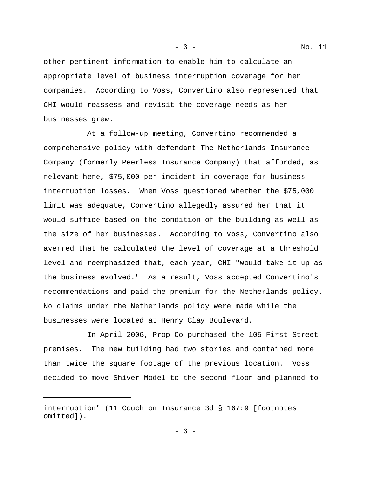- 3 - No. 11

other pertinent information to enable him to calculate an appropriate level of business interruption coverage for her companies. According to Voss, Convertino also represented that CHI would reassess and revisit the coverage needs as her businesses grew.

At a follow-up meeting, Convertino recommended a comprehensive policy with defendant The Netherlands Insurance Company (formerly Peerless Insurance Company) that afforded, as relevant here, \$75,000 per incident in coverage for business interruption losses. When Voss questioned whether the \$75,000 limit was adequate, Convertino allegedly assured her that it would suffice based on the condition of the building as well as the size of her businesses. According to Voss, Convertino also averred that he calculated the level of coverage at a threshold level and reemphasized that, each year, CHI "would take it up as the business evolved." As a result, Voss accepted Convertino's recommendations and paid the premium for the Netherlands policy. No claims under the Netherlands policy were made while the businesses were located at Henry Clay Boulevard.

In April 2006, Prop-Co purchased the 105 First Street premises. The new building had two stories and contained more than twice the square footage of the previous location. Voss decided to move Shiver Model to the second floor and planned to

interruption" (11 Couch on Insurance 3d § 167:9 [footnotes omitted]).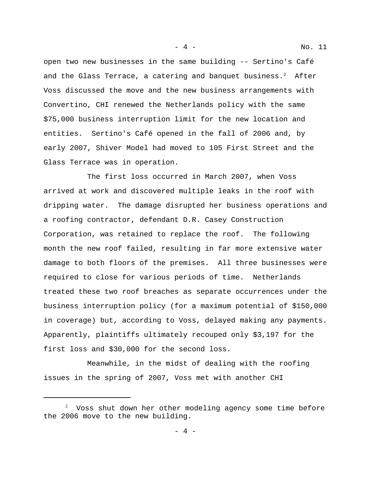open two new businesses in the same building -- Sertino's Café and the Glass Terrace, a catering and banquet business. $2$  After Voss discussed the move and the new business arrangements with Convertino, CHI renewed the Netherlands policy with the same \$75,000 business interruption limit for the new location and entities. Sertino's Café opened in the fall of 2006 and, by early 2007, Shiver Model had moved to 105 First Street and the Glass Terrace was in operation.

The first loss occurred in March 2007, when Voss arrived at work and discovered multiple leaks in the roof with dripping water. The damage disrupted her business operations and a roofing contractor, defendant D.R. Casey Construction Corporation, was retained to replace the roof. The following month the new roof failed, resulting in far more extensive water damage to both floors of the premises. All three businesses were required to close for various periods of time. Netherlands treated these two roof breaches as separate occurrences under the business interruption policy (for a maximum potential of \$150,000 in coverage) but, according to Voss, delayed making any payments. Apparently, plaintiffs ultimately recouped only \$3,197 for the first loss and \$30,000 for the second loss.

Meanwhile, in the midst of dealing with the roofing issues in the spring of 2007, Voss met with another CHI

<sup>2</sup> Voss shut down her other modeling agency some time before the 2006 move to the new building.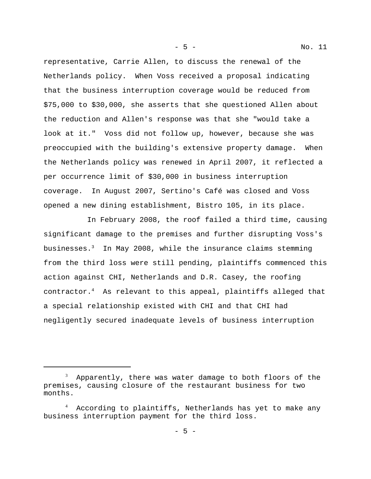representative, Carrie Allen, to discuss the renewal of the Netherlands policy. When Voss received a proposal indicating that the business interruption coverage would be reduced from \$75,000 to \$30,000, she asserts that she questioned Allen about the reduction and Allen's response was that she "would take a look at it." Voss did not follow up, however, because she was preoccupied with the building's extensive property damage. When the Netherlands policy was renewed in April 2007, it reflected a per occurrence limit of \$30,000 in business interruption coverage. In August 2007, Sertino's Café was closed and Voss opened a new dining establishment, Bistro 105, in its place.

In February 2008, the roof failed a third time, causing significant damage to the premises and further disrupting Voss's businesses. $3$  In May 2008, while the insurance claims stemming from the third loss were still pending, plaintiffs commenced this action against CHI, Netherlands and D.R. Casey, the roofing contractor.4 As relevant to this appeal, plaintiffs alleged that a special relationship existed with CHI and that CHI had negligently secured inadequate levels of business interruption

 $^3$  Apparently, there was water damage to both floors of the premises, causing closure of the restaurant business for two months.

<sup>4</sup> According to plaintiffs, Netherlands has yet to make any business interruption payment for the third loss.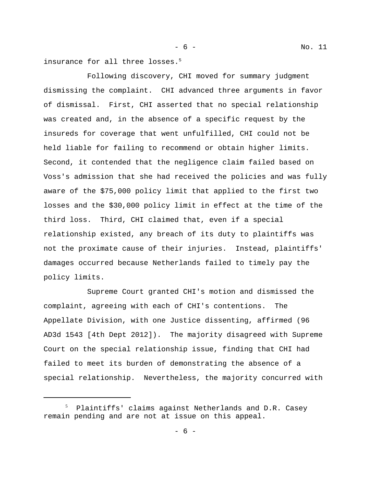- 6 - No. 11

insurance for all three losses.<sup>5</sup>

Following discovery, CHI moved for summary judgment dismissing the complaint. CHI advanced three arguments in favor of dismissal. First, CHI asserted that no special relationship was created and, in the absence of a specific request by the insureds for coverage that went unfulfilled, CHI could not be held liable for failing to recommend or obtain higher limits. Second, it contended that the negligence claim failed based on Voss's admission that she had received the policies and was fully aware of the \$75,000 policy limit that applied to the first two losses and the \$30,000 policy limit in effect at the time of the third loss. Third, CHI claimed that, even if a special relationship existed, any breach of its duty to plaintiffs was not the proximate cause of their injuries. Instead, plaintiffs' damages occurred because Netherlands failed to timely pay the policy limits.

Supreme Court granted CHI's motion and dismissed the complaint, agreeing with each of CHI's contentions. The Appellate Division, with one Justice dissenting, affirmed (96 AD3d 1543 [4th Dept 2012]). The majority disagreed with Supreme Court on the special relationship issue, finding that CHI had failed to meet its burden of demonstrating the absence of a special relationship. Nevertheless, the majority concurred with

<sup>5</sup> Plaintiffs' claims against Netherlands and D.R. Casey remain pending and are not at issue on this appeal.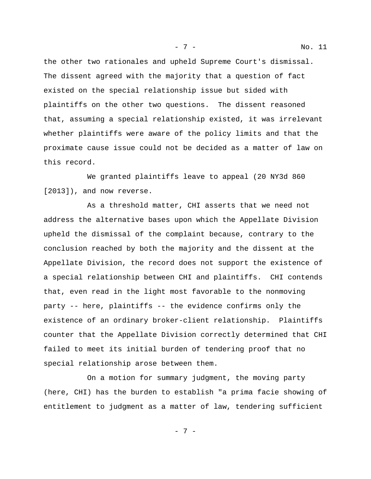the other two rationales and upheld Supreme Court's dismissal. The dissent agreed with the majority that a question of fact existed on the special relationship issue but sided with plaintiffs on the other two questions. The dissent reasoned that, assuming a special relationship existed, it was irrelevant whether plaintiffs were aware of the policy limits and that the proximate cause issue could not be decided as a matter of law on this record.

We granted plaintiffs leave to appeal (20 NY3d 860 [2013]), and now reverse.

As a threshold matter, CHI asserts that we need not address the alternative bases upon which the Appellate Division upheld the dismissal of the complaint because, contrary to the conclusion reached by both the majority and the dissent at the Appellate Division, the record does not support the existence of a special relationship between CHI and plaintiffs. CHI contends that, even read in the light most favorable to the nonmoving party -- here, plaintiffs -- the evidence confirms only the existence of an ordinary broker-client relationship. Plaintiffs counter that the Appellate Division correctly determined that CHI failed to meet its initial burden of tendering proof that no special relationship arose between them.

On a motion for summary judgment, the moving party (here, CHI) has the burden to establish "a prima facie showing of entitlement to judgment as a matter of law, tendering sufficient

- 7 -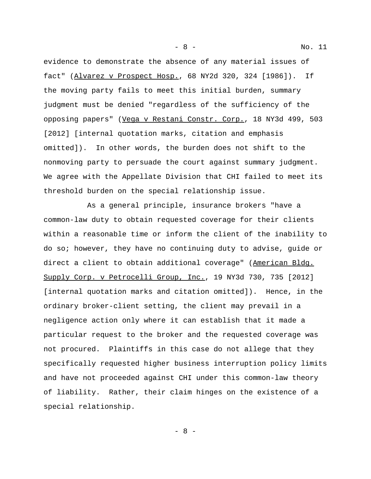evidence to demonstrate the absence of any material issues of fact" (Alvarez v Prospect Hosp., 68 NY2d 320, 324 [1986]). If the moving party fails to meet this initial burden, summary judgment must be denied "regardless of the sufficiency of the opposing papers" (Vega v Restani Constr. Corp., 18 NY3d 499, 503 [2012] [internal quotation marks, citation and emphasis omitted]). In other words, the burden does not shift to the nonmoving party to persuade the court against summary judgment. We agree with the Appellate Division that CHI failed to meet its threshold burden on the special relationship issue.

As a general principle, insurance brokers "have a common-law duty to obtain requested coverage for their clients within a reasonable time or inform the client of the inability to do so; however, they have no continuing duty to advise, guide or direct a client to obtain additional coverage" (American Bldg. Supply Corp. v Petrocelli Group, Inc., 19 NY3d 730, 735 [2012] [internal quotation marks and citation omitted]). Hence, in the ordinary broker-client setting, the client may prevail in a negligence action only where it can establish that it made a particular request to the broker and the requested coverage was not procured. Plaintiffs in this case do not allege that they specifically requested higher business interruption policy limits and have not proceeded against CHI under this common-law theory of liability. Rather, their claim hinges on the existence of a special relationship.

- 8 -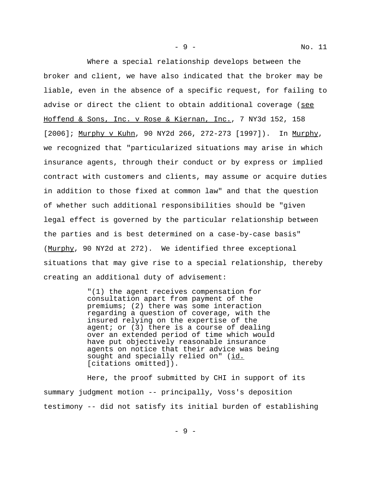- 9 - No. 11

Where a special relationship develops between the broker and client, we have also indicated that the broker may be liable, even in the absence of a specific request, for failing to advise or direct the client to obtain additional coverage (see Hoffend & Sons, Inc. v Rose & Kiernan, Inc., 7 NY3d 152, 158 [2006]; Murphy y Kuhn, 90 NY2d 266, 272-273 [1997]). In Murphy, we recognized that "particularized situations may arise in which insurance agents, through their conduct or by express or implied contract with customers and clients, may assume or acquire duties in addition to those fixed at common law" and that the question of whether such additional responsibilities should be "given legal effect is governed by the particular relationship between the parties and is best determined on a case-by-case basis" (Murphy, 90 NY2d at 272). We identified three exceptional situations that may give rise to a special relationship, thereby creating an additional duty of advisement:

> "(1) the agent receives compensation for consultation apart from payment of the premiums; (2) there was some interaction regarding a question of coverage, with the insured relying on the expertise of the agent; or (3) there is a course of dealing over an extended period of time which would have put objectively reasonable insurance agents on notice that their advice was being sought and specially relied on" (id. [citations omitted]).

Here, the proof submitted by CHI in support of its summary judgment motion -- principally, Voss's deposition testimony -- did not satisfy its initial burden of establishing

- 9 -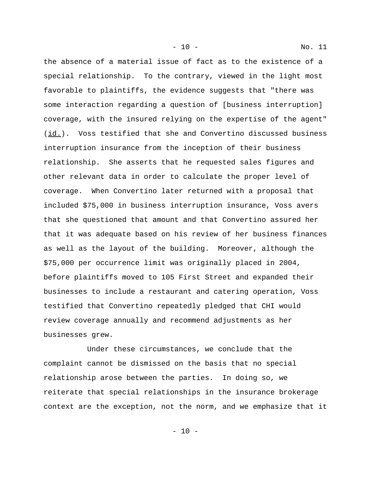- 10 - No. 11

the absence of a material issue of fact as to the existence of a special relationship. To the contrary, viewed in the light most favorable to plaintiffs, the evidence suggests that "there was some interaction regarding a question of [business interruption] coverage, with the insured relying on the expertise of the agent" (id.). Voss testified that she and Convertino discussed business interruption insurance from the inception of their business relationship. She asserts that he requested sales figures and other relevant data in order to calculate the proper level of coverage. When Convertino later returned with a proposal that included \$75,000 in business interruption insurance, Voss avers that she questioned that amount and that Convertino assured her that it was adequate based on his review of her business finances as well as the layout of the building. Moreover, although the \$75,000 per occurrence limit was originally placed in 2004, before plaintiffs moved to 105 First Street and expanded their businesses to include a restaurant and catering operation, Voss testified that Convertino repeatedly pledged that CHI would review coverage annually and recommend adjustments as her businesses grew.

Under these circumstances, we conclude that the complaint cannot be dismissed on the basis that no special relationship arose between the parties. In doing so, we reiterate that special relationships in the insurance brokerage context are the exception, not the norm, and we emphasize that it

- 10 -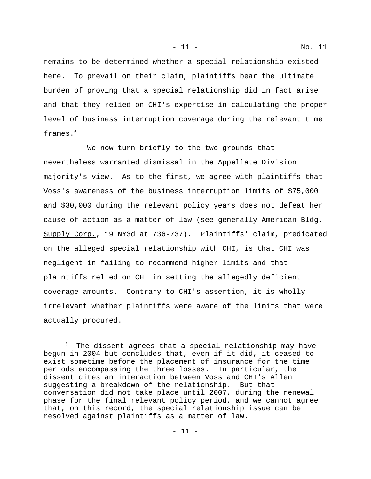remains to be determined whether a special relationship existed here. To prevail on their claim, plaintiffs bear the ultimate burden of proving that a special relationship did in fact arise and that they relied on CHI's expertise in calculating the proper level of business interruption coverage during the relevant time frames.<sup>6</sup>

We now turn briefly to the two grounds that nevertheless warranted dismissal in the Appellate Division majority's view. As to the first, we agree with plaintiffs that Voss's awareness of the business interruption limits of \$75,000 and \$30,000 during the relevant policy years does not defeat her cause of action as a matter of law (see generally American Bldg. Supply Corp., 19 NY3d at 736-737). Plaintiffs' claim, predicated on the alleged special relationship with CHI, is that CHI was negligent in failing to recommend higher limits and that plaintiffs relied on CHI in setting the allegedly deficient coverage amounts. Contrary to CHI's assertion, it is wholly irrelevant whether plaintiffs were aware of the limits that were actually procured.

 $^6$  The dissent agrees that a special relationship may have begun in 2004 but concludes that, even if it did, it ceased to exist sometime before the placement of insurance for the time periods encompassing the three losses. In particular, the dissent cites an interaction between Voss and CHI's Allen suggesting a breakdown of the relationship. But that conversation did not take place until 2007, during the renewal phase for the final relevant policy period, and we cannot agree that, on this record, the special relationship issue can be resolved against plaintiffs as a matter of law.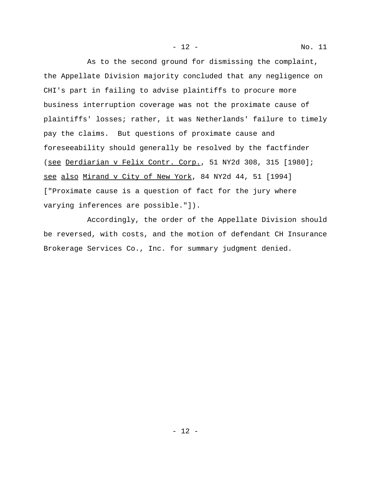As to the second ground for dismissing the complaint, the Appellate Division majority concluded that any negligence on CHI's part in failing to advise plaintiffs to procure more business interruption coverage was not the proximate cause of plaintiffs' losses; rather, it was Netherlands' failure to timely pay the claims. But questions of proximate cause and foreseeability should generally be resolved by the factfinder

(see Derdiarian v Felix Contr. Corp., 51 NY2d 308, 315 [1980]; see also Mirand v City of New York, 84 NY2d 44, 51 [1994] ["Proximate cause is a question of fact for the jury where varying inferences are possible."]).

Accordingly, the order of the Appellate Division should be reversed, with costs, and the motion of defendant CH Insurance Brokerage Services Co., Inc. for summary judgment denied.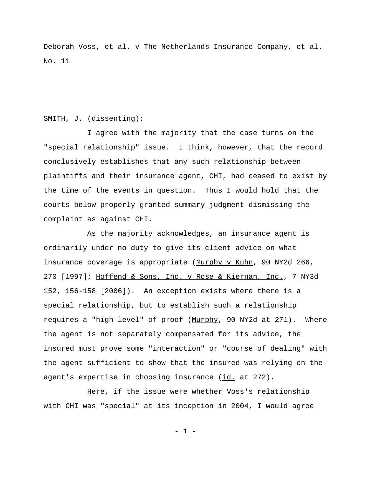Deborah Voss, et al. v The Netherlands Insurance Company, et al. No. 11

## SMITH, J. (dissenting):

I agree with the majority that the case turns on the "special relationship" issue. I think, however, that the record conclusively establishes that any such relationship between plaintiffs and their insurance agent, CHI, had ceased to exist by the time of the events in question. Thus I would hold that the courts below properly granted summary judgment dismissing the complaint as against CHI.

As the majority acknowledges, an insurance agent is ordinarily under no duty to give its client advice on what insurance coverage is appropriate (Murphy v Kuhn, 90 NY2d 266, 270 [1997]; Hoffend & Sons, Inc. v Rose & Kiernan, Inc., 7 NY3d 152, 156-158 [2006]). An exception exists where there is a special relationship, but to establish such a relationship requires a "high level" of proof (Murphy, 90 NY2d at 271). Where the agent is not separately compensated for its advice, the insured must prove some "interaction" or "course of dealing" with the agent sufficient to show that the insured was relying on the agent's expertise in choosing insurance (id. at 272).

Here, if the issue were whether Voss's relationship with CHI was "special" at its inception in 2004, I would agree

- 1 -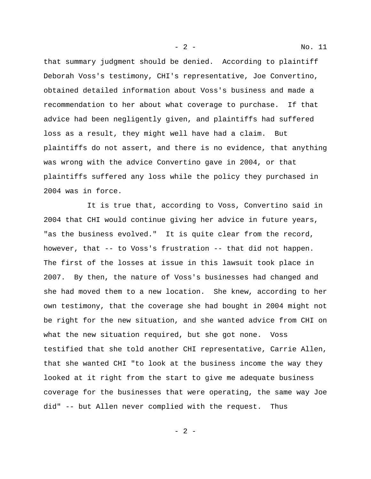that summary judgment should be denied. According to plaintiff Deborah Voss's testimony, CHI's representative, Joe Convertino, obtained detailed information about Voss's business and made a recommendation to her about what coverage to purchase. If that advice had been negligently given, and plaintiffs had suffered loss as a result, they might well have had a claim. But plaintiffs do not assert, and there is no evidence, that anything was wrong with the advice Convertino gave in 2004, or that plaintiffs suffered any loss while the policy they purchased in 2004 was in force.

It is true that, according to Voss, Convertino said in 2004 that CHI would continue giving her advice in future years, "as the business evolved." It is quite clear from the record, however, that -- to Voss's frustration -- that did not happen. The first of the losses at issue in this lawsuit took place in 2007. By then, the nature of Voss's businesses had changed and she had moved them to a new location. She knew, according to her own testimony, that the coverage she had bought in 2004 might not be right for the new situation, and she wanted advice from CHI on what the new situation required, but she got none. Voss testified that she told another CHI representative, Carrie Allen, that she wanted CHI "to look at the business income the way they looked at it right from the start to give me adequate business coverage for the businesses that were operating, the same way Joe did" -- but Allen never complied with the request. Thus

- 2 -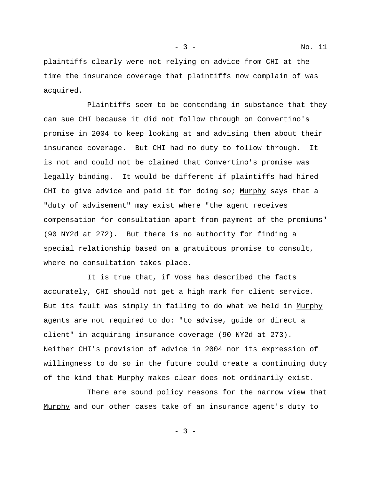plaintiffs clearly were not relying on advice from CHI at the time the insurance coverage that plaintiffs now complain of was acquired.

Plaintiffs seem to be contending in substance that they can sue CHI because it did not follow through on Convertino's promise in 2004 to keep looking at and advising them about their insurance coverage. But CHI had no duty to follow through. It is not and could not be claimed that Convertino's promise was legally binding. It would be different if plaintiffs had hired CHI to give advice and paid it for doing so; Murphy says that a "duty of advisement" may exist where "the agent receives compensation for consultation apart from payment of the premiums" (90 NY2d at 272). But there is no authority for finding a special relationship based on a gratuitous promise to consult, where no consultation takes place.

It is true that, if Voss has described the facts accurately, CHI should not get a high mark for client service. But its fault was simply in failing to do what we held in Murphy agents are not required to do: "to advise, guide or direct a client" in acquiring insurance coverage (90 NY2d at 273). Neither CHI's provision of advice in 2004 nor its expression of willingness to do so in the future could create a continuing duty of the kind that Murphy makes clear does not ordinarily exist.

There are sound policy reasons for the narrow view that Murphy and our other cases take of an insurance agent's duty to

- 3 -